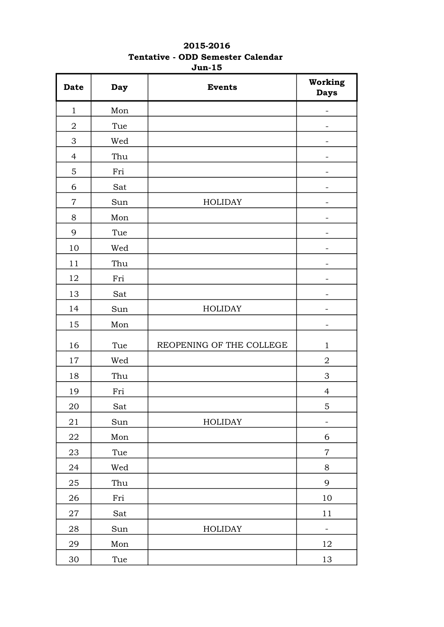## 2015-2016 Tentative - ODD Semester Calendar Jun-15

| <b>Date</b>    | Day | <b>Events</b>            | Working<br><b>Days</b> |
|----------------|-----|--------------------------|------------------------|
| $\mathbf{1}$   | Mon |                          |                        |
| $\mathbf 2$    | Tue |                          |                        |
| 3              | Wed |                          |                        |
| $\overline{4}$ | Thu |                          |                        |
| 5              | Fri |                          |                        |
| 6              | Sat |                          |                        |
| $\overline{7}$ | Sun | <b>HOLIDAY</b>           | -                      |
| 8              | Mon |                          |                        |
| 9              | Tue |                          |                        |
| 10             | Wed |                          |                        |
| 11             | Thu |                          |                        |
| 12             | Fri |                          |                        |
| 13             | Sat |                          |                        |
| 14             | Sun | <b>HOLIDAY</b>           | -                      |
| 15             | Mon |                          |                        |
| 16             | Tue | REOPENING OF THE COLLEGE | $\mathbf{1}$           |
| 17             | Wed |                          | $\overline{2}$         |
| 18             | Thu |                          | $\mathfrak 3$          |
| 19             | Fri |                          | $\overline{4}$         |
| 20             | Sat |                          | $\overline{5}$         |
| 21             | Sun | <b>HOLIDAY</b>           | -                      |
| 22             | Mon |                          | $\boldsymbol{6}$       |
| 23             | Tue |                          | $\overline{7}$         |
| 24             | Wed |                          | 8                      |
| 25             | Thu |                          | 9                      |
| 26             | Fri |                          | 10                     |
| $27\,$         | Sat |                          | 11                     |
| 28             | Sun | HOLIDAY                  | -                      |
| 29             | Mon |                          | 12                     |
| $30\,$         | Tue |                          | 13                     |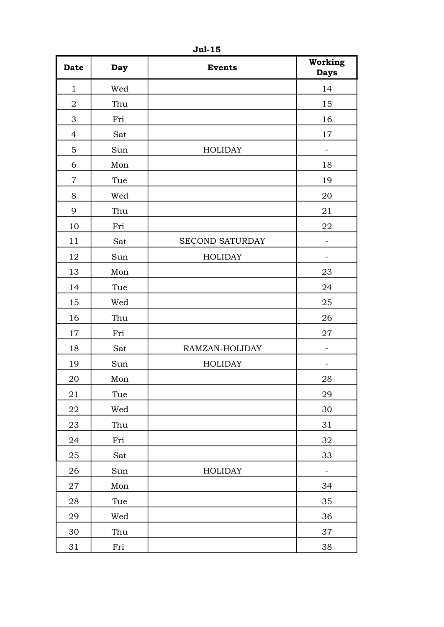| <b>Date</b>    | Day                                | <b>Events</b>          | Working<br><b>Days</b> |
|----------------|------------------------------------|------------------------|------------------------|
| $\mathbf{1}$   | Wed                                |                        | 14                     |
| $\overline{2}$ | Thu                                |                        | 15                     |
| 3              | Fri                                |                        | 16                     |
| $\overline{4}$ | Sat                                |                        | 17                     |
| 5              | Sun                                | <b>HOLIDAY</b>         |                        |
| 6              | $\operatorname*{Mon}% \mathcal{M}$ |                        | 18                     |
| $\overline{7}$ | Tue                                |                        | 19                     |
| 8              | Wed                                |                        | 20                     |
| 9              | Thu                                |                        | 21                     |
| 10             | Fri                                |                        | 22                     |
| 11             | Sat                                | <b>SECOND SATURDAY</b> |                        |
| 12             | Sun                                | <b>HOLIDAY</b>         |                        |
| 13             | Mon                                |                        | 23                     |
| 14             | Tue                                |                        | 24                     |
| 15             | Wed                                |                        | 25                     |
| 16             | Thu                                |                        | 26                     |
| 17             | Fri                                |                        | 27                     |
| 18             | Sat                                | RAMZAN-HOLIDAY         |                        |
| 19             | Sun                                | <b>HOLIDAY</b>         |                        |
| 20             | $\operatorname*{Mon}% \mathcal{M}$ |                        | 28                     |
| 21             | Tue                                |                        | 29                     |
| 22             | Wed                                |                        | 30                     |
| 23             | Thu                                |                        | 31                     |
| 24             | Fri                                |                        | 32                     |
| 25             | Sat                                |                        | 33                     |
| 26             | Sun                                | HOLIDAY                | $\qquad \qquad -$      |
| 27             | Mon                                |                        | 34                     |
| 28             | Tue                                |                        | 35                     |
| 29             | Wed                                |                        | 36                     |
| 30             | Thu                                |                        | 37                     |
| 31             | Fri                                |                        | 38                     |

Jul-15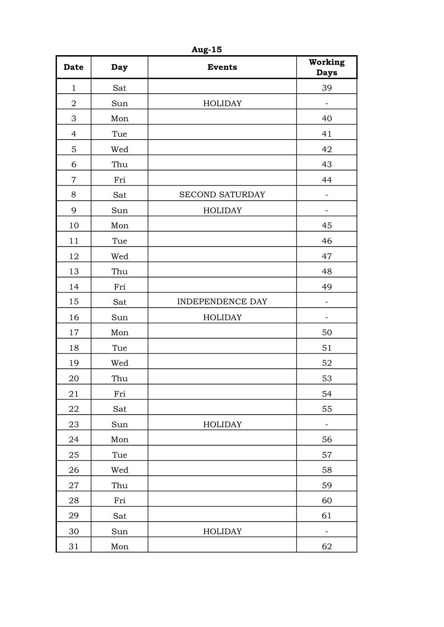| <b>Date</b>    | <b>Day</b> | <b>Events</b>          | Working<br><b>Days</b>   |
|----------------|------------|------------------------|--------------------------|
| $\mathbf{1}$   | Sat        |                        | 39                       |
| $\overline{2}$ | Sun        | <b>HOLIDAY</b>         | $\overline{\phantom{a}}$ |
| 3              | Mon        |                        | 40                       |
| $\overline{4}$ | Tue        |                        | 41                       |
| 5              | Wed        |                        | 42                       |
| 6              | Thu        |                        | 43                       |
| $\overline{7}$ | Fri        |                        | 44                       |
| 8              | Sat        | <b>SECOND SATURDAY</b> |                          |
| 9              | Sun        | <b>HOLIDAY</b>         | $\overline{\phantom{0}}$ |
| 10             | Mon        |                        | 45                       |
| 11             | Tue        |                        | 46                       |
| 12             | Wed        |                        | 47                       |
| 13             | Thu        |                        | 48                       |
| 14             | Fri        |                        | 49                       |
| 15             | Sat        | INDEPENDENCE DAY       |                          |
| 16             | Sun        | <b>HOLIDAY</b>         | $\qquad \qquad -$        |
| 17             | Mon        |                        | 50                       |
| 18             | Tue        |                        | 51                       |
| 19             | Wed        |                        | 52                       |
| 20             | Thu        |                        | 53                       |
| 21             | Fri        |                        | 54                       |
| 22             | Sat        |                        | 55                       |
| 23             | Sun        | <b>HOLIDAY</b>         |                          |
| 24             | Mon        |                        | 56                       |
| 25             | Tue        |                        | 57                       |
| 26             | Wed        |                        | 58                       |
| 27             | Thu        |                        | 59                       |
| 28             | Fri        |                        | 60                       |
| 29             | Sat        |                        | 61                       |
| 30             | Sun        | <b>HOLIDAY</b>         |                          |
| 31             | Mon        |                        | 62                       |

Aug-15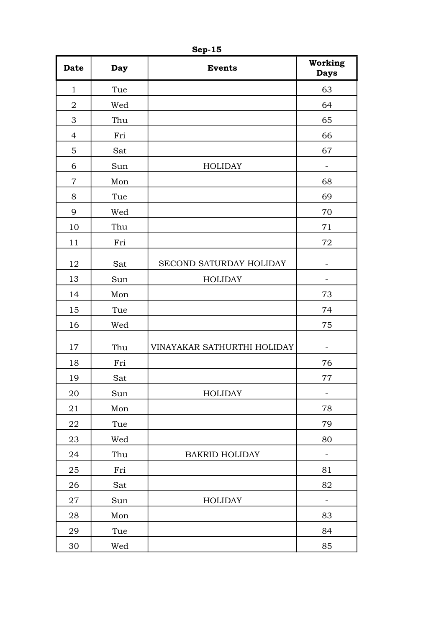| <b>Date</b>    | Day | <b>Events</b>               | Working<br><b>Days</b>   |
|----------------|-----|-----------------------------|--------------------------|
| $\mathbf{1}$   | Tue |                             | 63                       |
| $\overline{2}$ | Wed |                             | 64                       |
| 3              | Thu |                             | 65                       |
| $\overline{4}$ | Fri |                             | 66                       |
| 5              | Sat |                             | 67                       |
| 6              | Sun | <b>HOLIDAY</b>              | $\overline{\phantom{0}}$ |
| $\overline{7}$ | Mon |                             | 68                       |
| 8              | Tue |                             | 69                       |
| 9              | Wed |                             | 70                       |
| 10             | Thu |                             | 71                       |
| 11             | Fri |                             | 72                       |
| 12             | Sat | SECOND SATURDAY HOLIDAY     | $\qquad \qquad -$        |
| 13             | Sun | <b>HOLIDAY</b>              |                          |
| 14             | Mon |                             | 73                       |
| 15             | Tue |                             | 74                       |
| 16             | Wed |                             | 75                       |
| 17             | Thu | VINAYAKAR SATHURTHI HOLIDAY |                          |
| 18             | Fri |                             | 76                       |
| 19             | Sat |                             | 77                       |
| 20             | Sun | <b>HOLIDAY</b>              | -                        |
| 21             | Mon |                             | $78\,$                   |
| 22             | Tue |                             | 79                       |
| 23             | Wed |                             | 80                       |
| 24             | Thu | <b>BAKRID HOLIDAY</b>       | $\qquad \qquad -$        |
| 25             | Fri |                             | 81                       |
| 26             | Sat |                             | 82                       |
| 27             | Sun | <b>HOLIDAY</b>              | $\overline{\phantom{0}}$ |
| 28             | Mon |                             | 83                       |
| 29             | Tue |                             | 84                       |
| 30             | Wed |                             | 85                       |

Sep-15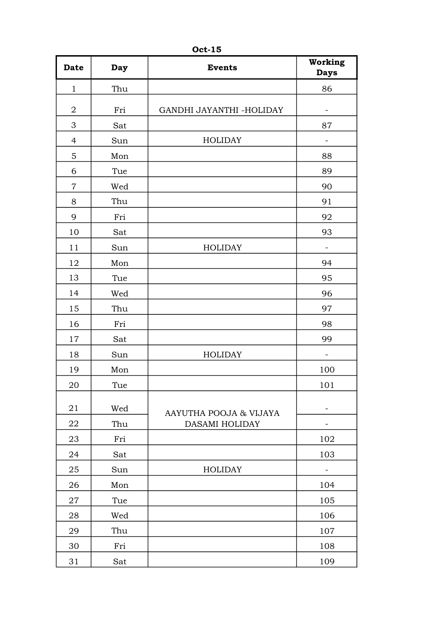| <b>Date</b>    | Day | <b>Events</b>                            | Working<br><b>Days</b> |
|----------------|-----|------------------------------------------|------------------------|
| $\mathbf{1}$   | Thu |                                          | 86                     |
| $\overline{2}$ | Fri | GANDHI JAYANTHI -HOLIDAY                 | -                      |
| 3              | Sat |                                          | 87                     |
| $\overline{4}$ | Sun | <b>HOLIDAY</b>                           |                        |
| 5              | Mon |                                          | 88                     |
| 6              | Tue |                                          | 89                     |
| $\overline{7}$ | Wed |                                          | 90                     |
| 8              | Thu |                                          | 91                     |
| 9              | Fri |                                          | 92                     |
| 10             | Sat |                                          | 93                     |
| 11             | Sun | <b>HOLIDAY</b>                           |                        |
| 12             | Mon |                                          | 94                     |
| 13             | Tue |                                          | 95                     |
| 14             | Wed |                                          | 96                     |
| 15             | Thu |                                          | 97                     |
| 16             | Fri |                                          | 98                     |
| 17             | Sat |                                          | 99                     |
| 18             | Sun | <b>HOLIDAY</b>                           |                        |
| 19             | Mon |                                          | 100                    |
| 20             | Tue |                                          | 101                    |
| 21             | Wed |                                          |                        |
| 22             | Thu | AAYUTHA POOJA & VIJAYA<br>DASAMI HOLIDAY |                        |
| 23             | Fri |                                          | 102                    |
| 24             | Sat |                                          | 103                    |
| 25             | Sun | <b>HOLIDAY</b>                           |                        |
| 26             | Mon |                                          | 104                    |
| 27             | Tue |                                          | 105                    |
| 28             | Wed |                                          | 106                    |
| 29             | Thu |                                          | 107                    |
| 30             | Fri |                                          | 108                    |
| 31             | Sat |                                          | 109                    |

Oct-15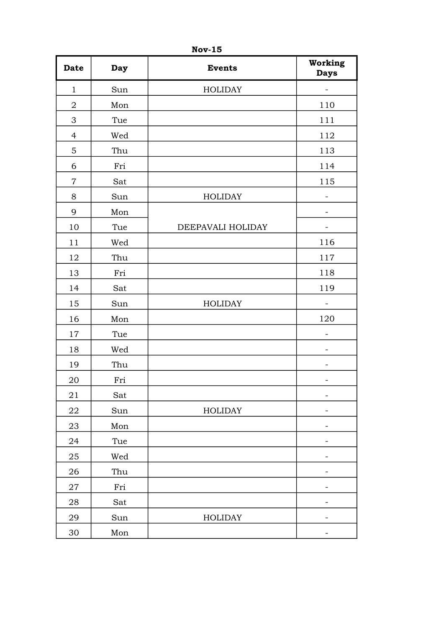| <b>Date</b>    | <b>Day</b> | <b>Events</b>     | Working<br><b>Days</b>   |
|----------------|------------|-------------------|--------------------------|
| $\mathbf{1}$   | Sun        | <b>HOLIDAY</b>    |                          |
| $\sqrt{2}$     | Mon        |                   | 110                      |
| 3              | Tue        |                   | 111                      |
| $\overline{4}$ | Wed        |                   | 112                      |
| $\mathbf 5$    | Thu        |                   | 113                      |
| 6              | Fri        |                   | 114                      |
| $\overline{7}$ | Sat        |                   | 115                      |
| 8              | Sun        | <b>HOLIDAY</b>    |                          |
| 9              | Mon        |                   | $\overline{\phantom{0}}$ |
| 10             | Tue        | DEEPAVALI HOLIDAY |                          |
| 11             | Wed        |                   | 116                      |
| 12             | Thu        |                   | 117                      |
| 13             | Fri        |                   | 118                      |
| 14             | Sat        |                   | 119                      |
| 15             | Sun        | <b>HOLIDAY</b>    |                          |
| 16             | Mon        |                   | 120                      |
| 17             | Tue        |                   |                          |
| 18             | Wed        |                   |                          |
| 19             | Thu        |                   |                          |
| 20             | Fri        |                   | $\overline{\phantom{0}}$ |
| 21             | Sat        |                   | $\overline{\phantom{0}}$ |
| 22             | Sun        | <b>HOLIDAY</b>    |                          |
| 23             | Mon        |                   |                          |
| 24             | Tue        |                   |                          |
| 25             | Wed        |                   | -                        |
| 26             | Thu        |                   |                          |
| 27             | Fri        |                   |                          |
| 28             | Sat        |                   | -                        |
| 29             | Sun        | <b>HOLIDAY</b>    |                          |
| $30\,$         | Mon        |                   |                          |

Nov-15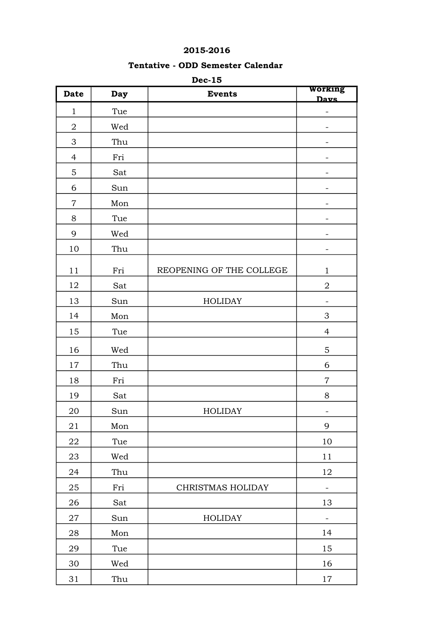## 2015-2016

## Tentative - ODD Semester Calendar

| <b>Date</b>      | <b>Day</b> | 500-10<br><b>Events</b>  | Working<br>Davs          |
|------------------|------------|--------------------------|--------------------------|
| $\mathbf{1}$     | Tue        |                          | -                        |
| $\boldsymbol{2}$ | Wed        |                          |                          |
| 3                | Thu        |                          |                          |
| $\overline{4}$   | Fri        |                          |                          |
| $\mathbf 5$      | Sat        |                          | -                        |
| 6                | Sun        |                          |                          |
| $\overline{7}$   | Mon        |                          |                          |
| 8                | Tue        |                          | -                        |
| 9                | Wed        |                          |                          |
| 10               | Thu        |                          |                          |
| 11               | Fri        | REOPENING OF THE COLLEGE | $\mathbf{1}$             |
| 12               | Sat        |                          | $\overline{2}$           |
| 13               | Sun        | <b>HOLIDAY</b>           | -                        |
| 14               | Mon        |                          | $\mathfrak{Z}$           |
| 15               | Tue        |                          | $\overline{4}$           |
| 16               | Wed        |                          | $\mathbf 5$              |
| 17               | Thu        |                          | $\sqrt{6}$               |
| 18               | Fri        |                          | $\overline{7}$           |
| 19               | Sat        |                          | 8                        |
| 20               | Sun        | <b>HOLIDAY</b>           | -                        |
| 21               | Mon        |                          | 9                        |
| 22               | Tue        |                          | 10                       |
| 23               | Wed        |                          | 11                       |
| 24               | Thu        |                          | 12                       |
| 25               | Fri        | CHRISTMAS HOLIDAY        |                          |
| 26               | Sat        |                          | 13                       |
| 27               | Sun        | <b>HOLIDAY</b>           | $\overline{\phantom{0}}$ |
| 28               | Mon        |                          | 14                       |
| 29               | Tue        |                          | 15                       |
| 30               | Wed        |                          | 16                       |
| $31\,$           | Thu        |                          | 17                       |

## Dec-15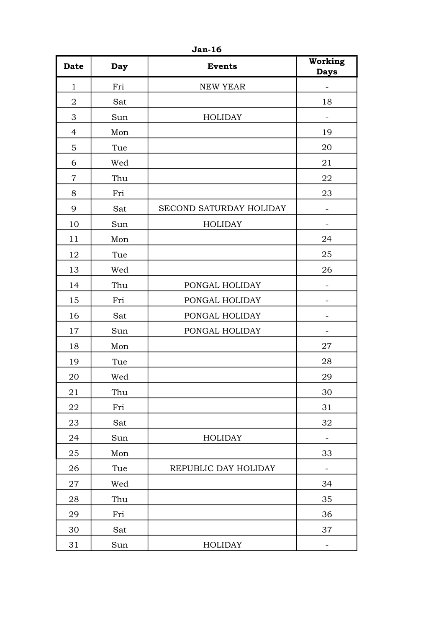| <b>Date</b>    | <b>Day</b> | <b>Events</b>           | Working<br><b>Days</b>   |
|----------------|------------|-------------------------|--------------------------|
| $\mathbf{1}$   | Fri        | <b>NEW YEAR</b>         |                          |
| $\overline{2}$ | Sat        |                         | 18                       |
| 3              | Sun        | <b>HOLIDAY</b>          |                          |
| 4              | Mon        |                         | 19                       |
| 5              | Tue        |                         | 20                       |
| 6              | Wed        |                         | 21                       |
| $\overline{7}$ | Thu        |                         | 22                       |
| 8              | Fri        |                         | 23                       |
| 9              | Sat        | SECOND SATURDAY HOLIDAY | $\overline{\phantom{0}}$ |
| 10             | Sun        | <b>HOLIDAY</b>          |                          |
| 11             | Mon        |                         | 24                       |
| 12             | Tue        |                         | 25                       |
| 13             | Wed        |                         | 26                       |
| 14             | Thu        | PONGAL HOLIDAY          |                          |
| 15             | Fri        | PONGAL HOLIDAY          |                          |
| 16             | Sat        | PONGAL HOLIDAY          | $\overline{\phantom{0}}$ |
| 17             | Sun        | PONGAL HOLIDAY          |                          |
| 18             | Mon        |                         | 27                       |
| 19             | Tue        |                         | 28                       |
| 20             | Wed        |                         | 29                       |
| 21             | Thu        |                         | 30                       |
| 22             | Fri        |                         | 31                       |
| 23             | Sat        |                         | 32                       |
| 24             | Sun        | <b>HOLIDAY</b>          |                          |
| 25             | Mon        |                         | 33                       |
| 26             | Tue        | REPUBLIC DAY HOLIDAY    |                          |
| 27             | Wed        |                         | 34                       |
| 28             | Thu        |                         | 35                       |
| 29             | Fri        |                         | 36                       |
| 30             | Sat        |                         | 37                       |
| 31             | Sun        | <b>HOLIDAY</b>          | $\overline{\phantom{0}}$ |

Jan-16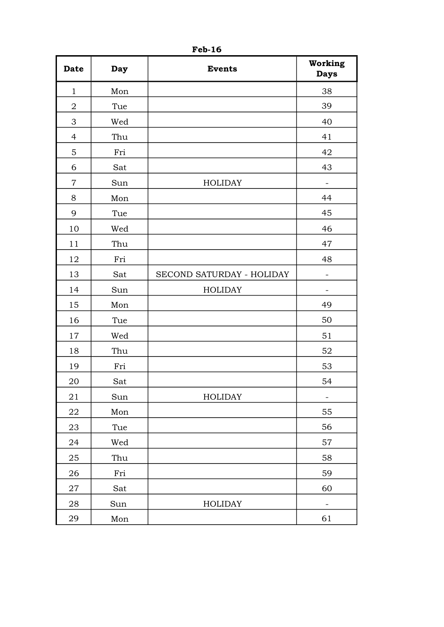| <b>Date</b>    | Day | <b>Events</b>             | Working<br><b>Days</b>   |
|----------------|-----|---------------------------|--------------------------|
| $\mathbf{1}$   | Mon |                           | 38                       |
| $\overline{2}$ | Tue |                           | 39                       |
| 3              | Wed |                           | 40                       |
| $\overline{4}$ | Thu |                           | 41                       |
| 5              | Fri |                           | 42                       |
| 6              | Sat |                           | 43                       |
| $\overline{7}$ | Sun | <b>HOLIDAY</b>            | $\overline{\phantom{0}}$ |
| 8              | Mon |                           | 44                       |
| 9              | Tue |                           | 45                       |
| 10             | Wed |                           | 46                       |
| 11             | Thu |                           | 47                       |
| 12             | Fri |                           | 48                       |
| 13             | Sat | SECOND SATURDAY - HOLIDAY | $\overline{\phantom{0}}$ |
| 14             | Sun | <b>HOLIDAY</b>            | $\overline{\phantom{0}}$ |
| 15             | Mon |                           | 49                       |
| 16             | Tue |                           | 50                       |
| 17             | Wed |                           | 51                       |
| 18             | Thu |                           | 52                       |
| 19             | Fri |                           | 53                       |
| 20             | Sat |                           | 54                       |
| 21             | Sun | HOLIDAY                   | -                        |
| 22             | Mon |                           | 55                       |
| 23             | Tue |                           | 56                       |
| 24             | Wed |                           | $57\,$                   |
| 25             | Thu |                           | 58                       |
| 26             | Fri |                           | 59                       |
| 27             | Sat |                           | 60                       |
| 28             | Sun | HOLIDAY                   |                          |
| 29             | Mon |                           | 61                       |

Feb-16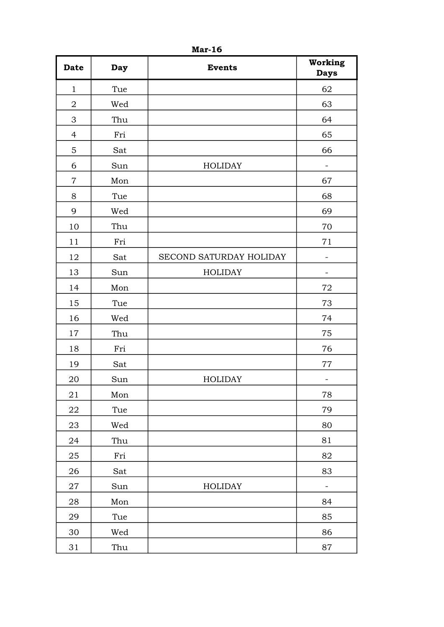| <b>Date</b>    | Day | <b>Events</b>           | Working<br><b>Days</b>   |
|----------------|-----|-------------------------|--------------------------|
| $\mathbf{1}$   | Tue |                         | 62                       |
| $\overline{2}$ | Wed |                         | 63                       |
| 3              | Thu |                         | 64                       |
| $\overline{4}$ | Fri |                         | 65                       |
| 5              | Sat |                         | 66                       |
| 6              | Sun | <b>HOLIDAY</b>          | $\qquad \qquad -$        |
| $\overline{7}$ | Mon |                         | 67                       |
| 8              | Tue |                         | 68                       |
| 9              | Wed |                         | 69                       |
| 10             | Thu |                         | 70                       |
| 11             | Fri |                         | 71                       |
| 12             | Sat | SECOND SATURDAY HOLIDAY |                          |
| 13             | Sun | <b>HOLIDAY</b>          | $\overline{\phantom{a}}$ |
| 14             | Mon |                         | 72                       |
| 15             | Tue |                         | 73                       |
| 16             | Wed |                         | 74                       |
| 17             | Thu |                         | 75                       |
| 18             | Fri |                         | 76                       |
| 19             | Sat |                         | 77                       |
| 20             | Sun | <b>HOLIDAY</b>          | $\overline{\phantom{a}}$ |
| 21             | Mon |                         | 78                       |
| 22             | Tue |                         | 79                       |
| 23             | Wed |                         | 80                       |
| 24             | Thu |                         | 81                       |
| 25             | Fri |                         | 82                       |
| 26             | Sat |                         | 83                       |
| 27             | Sun | <b>HOLIDAY</b>          | $\overline{\phantom{a}}$ |
| 28             | Mon |                         | 84                       |
| 29             | Tue |                         | 85                       |
| 30             | Wed |                         | 86                       |
| 31             | Thu |                         | 87                       |

Mar-16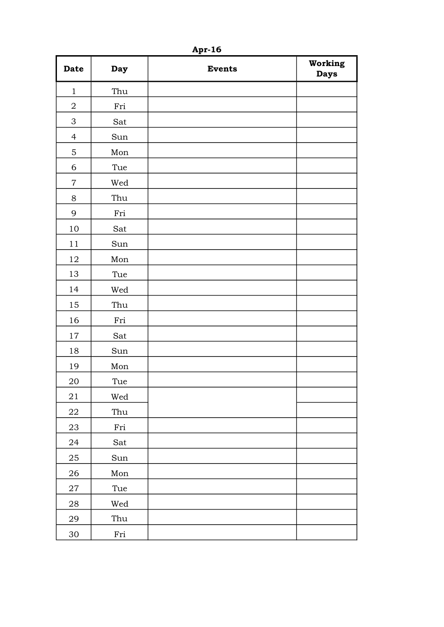| <b>Date</b>               | Day                  | <b>Events</b> | Working<br><b>Days</b> |
|---------------------------|----------------------|---------------|------------------------|
| $\mathbf{1}$              | Thu                  |               |                        |
| $\boldsymbol{2}$          | Fri                  |               |                        |
| $\ensuremath{\mathsf{3}}$ | Sat                  |               |                        |
| $\overline{4}$            | Sun                  |               |                        |
| $\mathbf 5$               | Mon                  |               |                        |
| 6                         | Tue                  |               |                        |
| $\overline{7}$            | Wed                  |               |                        |
| $8\,$                     | Thu                  |               |                        |
| 9                         | Fri                  |               |                        |
| 10                        | Sat                  |               |                        |
| $11$                      | Sun                  |               |                        |
| 12                        | Mon                  |               |                        |
| 13                        | Tue                  |               |                        |
| 14                        | Wed                  |               |                        |
| 15                        | Thu                  |               |                        |
| 16                        | Fri                  |               |                        |
| 17                        | Sat                  |               |                        |
| 18                        | Sun                  |               |                        |
| 19                        | Mon                  |               |                        |
| 20                        | Tue                  |               |                        |
| $21\,$                    | Wed                  |               |                        |
| 22                        | Thu                  |               |                        |
| $23\,$                    | $\operatorname{Fri}$ |               |                        |
| 24                        | Sat                  |               |                        |
| $25\,$                    | Sun                  |               |                        |
| 26                        | Mon                  |               |                        |
| $\sqrt{27}$               | Tue                  |               |                        |
| ${\bf 28}$                | Wed                  |               |                        |
| 29                        | Thu                  |               |                        |
| $30\,$                    | Fri                  |               |                        |

Apr-16